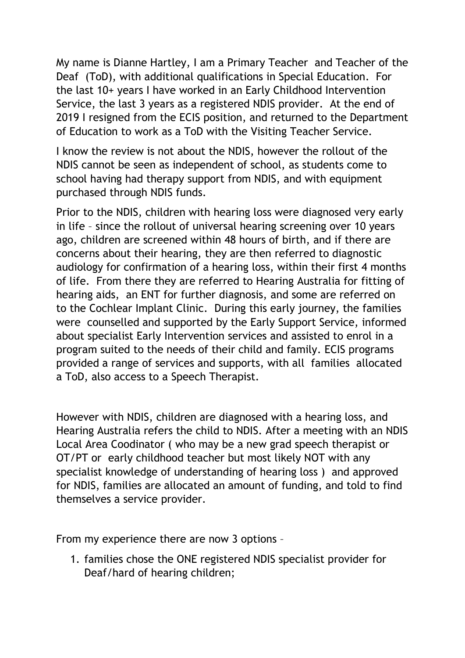My name is Dianne Hartley, I am a Primary Teacher and Teacher of the Deaf (ToD), with additional qualifications in Special Education. For the last 10+ years I have worked in an Early Childhood Intervention Service, the last 3 years as a registered NDIS provider. At the end of 2019 I resigned from the ECIS position, and returned to the Department of Education to work as a ToD with the Visiting Teacher Service.

I know the review is not about the NDIS, however the rollout of the NDIS cannot be seen as independent of school, as students come to school having had therapy support from NDIS, and with equipment purchased through NDIS funds.

Prior to the NDIS, children with hearing loss were diagnosed very early in life – since the rollout of universal hearing screening over 10 years ago, children are screened within 48 hours of birth, and if there are concerns about their hearing, they are then referred to diagnostic audiology for confirmation of a hearing loss, within their first 4 months of life. From there they are referred to Hearing Australia for fitting of hearing aids, an ENT for further diagnosis, and some are referred on to the Cochlear Implant Clinic. During this early journey, the families were counselled and supported by the Early Support Service, informed about specialist Early Intervention services and assisted to enrol in a program suited to the needs of their child and family. ECIS programs provided a range of services and supports, with all families allocated a ToD, also access to a Speech Therapist.

However with NDIS, children are diagnosed with a hearing loss, and Hearing Australia refers the child to NDIS. After a meeting with an NDIS Local Area Coodinator ( who may be a new grad speech therapist or OT/PT or early childhood teacher but most likely NOT with any specialist knowledge of understanding of hearing loss ) and approved for NDIS, families are allocated an amount of funding, and told to find themselves a service provider.

From my experience there are now 3 options –

1. families chose the ONE registered NDIS specialist provider for Deaf/hard of hearing children;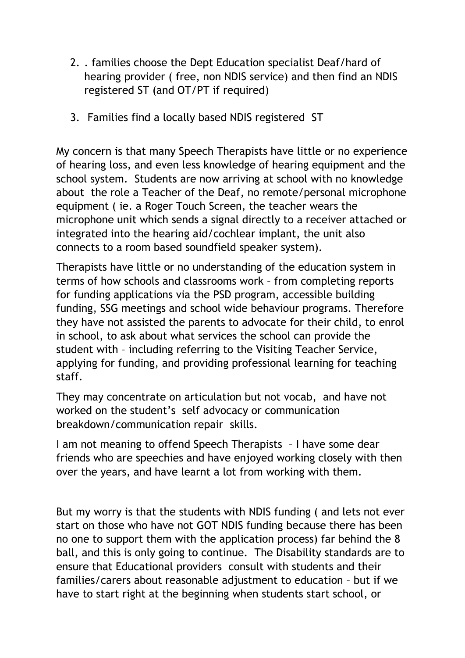- 2. . families choose the Dept Education specialist Deaf/hard of hearing provider ( free, non NDIS service) and then find an NDIS registered ST (and OT/PT if required)
- 3. Families find a locally based NDIS registered ST

My concern is that many Speech Therapists have little or no experience of hearing loss, and even less knowledge of hearing equipment and the school system. Students are now arriving at school with no knowledge about the role a Teacher of the Deaf, no remote/personal microphone equipment ( ie. a Roger Touch Screen, the teacher wears the microphone unit which sends a signal directly to a receiver attached or integrated into the hearing aid/cochlear implant, the unit also connects to a room based soundfield speaker system).

Therapists have little or no understanding of the education system in terms of how schools and classrooms work – from completing reports for funding applications via the PSD program, accessible building funding, SSG meetings and school wide behaviour programs. Therefore they have not assisted the parents to advocate for their child, to enrol in school, to ask about what services the school can provide the student with – including referring to the Visiting Teacher Service, applying for funding, and providing professional learning for teaching staff.

They may concentrate on articulation but not vocab, and have not worked on the student's self advocacy or communication breakdown/communication repair skills.

I am not meaning to offend Speech Therapists – I have some dear friends who are speechies and have enjoyed working closely with then over the years, and have learnt a lot from working with them.

But my worry is that the students with NDIS funding ( and lets not ever start on those who have not GOT NDIS funding because there has been no one to support them with the application process) far behind the 8 ball, and this is only going to continue. The Disability standards are to ensure that Educational providers consult with students and their families/carers about reasonable adjustment to education – but if we have to start right at the beginning when students start school, or